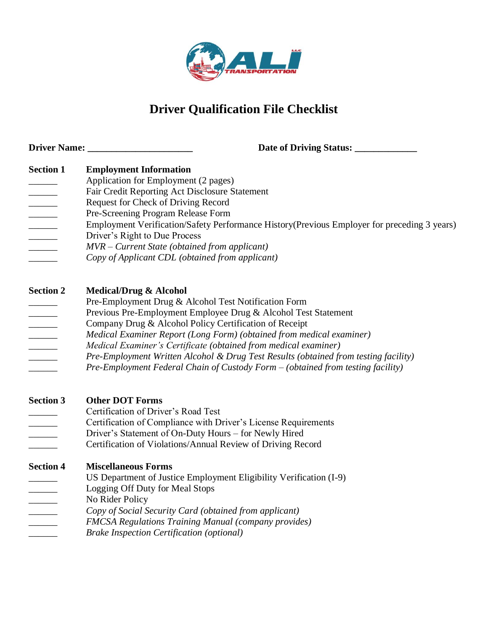

# **Driver Qualification File Checklist**

**Driver Name: \_\_\_\_\_\_\_\_\_\_\_\_\_\_\_\_\_\_\_\_\_\_ Date of Driving Status: \_\_\_\_\_\_\_\_\_\_\_\_\_ Section 1 Employment Information** Application for Employment (2 pages) Fair Credit Reporting Act Disclosure Statement \_\_\_\_\_\_ Request for Check of Driving Record Pre-Screening Program Release Form Employment Verification/Safety Performance History(Previous Employer for preceding 3 years) \_\_\_\_\_\_ Driver's Right to Due Process \_\_\_\_\_\_ *MVR – Current State (obtained from applicant)* \_\_\_\_\_\_ *Copy of Applicant CDL (obtained from applicant)* **Section 2 Medical/Drug & Alcohol** Pre-Employment Drug & Alcohol Test Notification Form Previous Pre-Employment Employee Drug & Alcohol Test Statement **Example 3** Company Drug & Alcohol Policy Certification of Receipt \_\_\_\_\_\_ *Medical Examiner Report (Long Form) (obtained from medical examiner)* \_\_\_\_\_\_ *Medical Examiner's Certificate (obtained from medical examiner)* \_\_\_\_\_\_ *Pre-Employment Written Alcohol & Drug Test Results (obtained from testing facility)*  \_\_\_\_\_\_ *Pre-Employment Federal Chain of Custody Form – (obtained from testing facility)* **Section 3 Other DOT Forms** \_\_\_\_\_\_ Certification of Driver's Road Test \_\_\_\_\_\_ Certification of Compliance with Driver's License Requirements

- Driver's Statement of On-Duty Hours for Newly Hired
- \_\_\_\_\_\_ Certification of Violations/Annual Review of Driving Record

**Section 4 Miscellaneous Forms** US Department of Justice Employment Eligibility Verification (I-9) Logging Off Duty for Meal Stops **No Rider Policy** \_\_\_\_\_\_ *Copy of Social Security Card (obtained from applicant)*

- \_\_\_\_\_\_ *FMCSA Regulations Training Manual (company provides)*
- \_\_\_\_\_\_ *Brake Inspection Certification (optional)*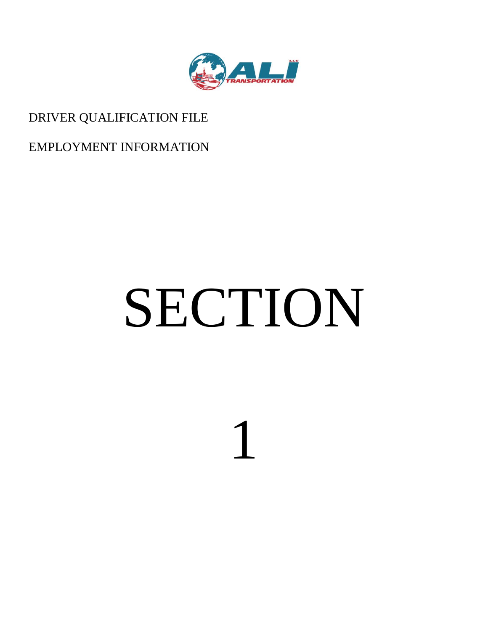

# DRIVER QUALIFICATION FILE

EMPLOYMENT INFORMATION

# SECTION

1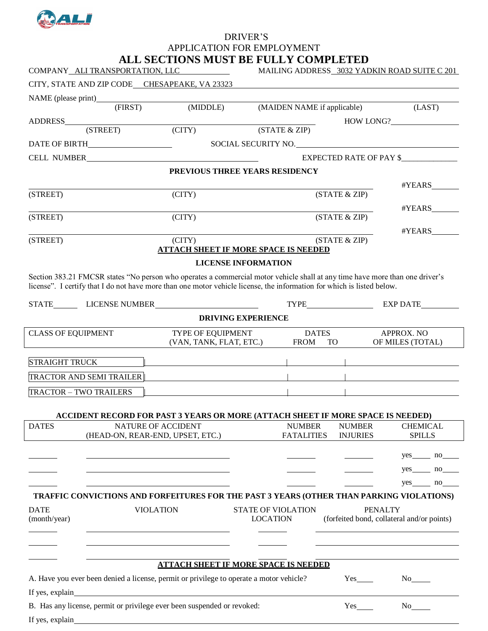

# APPLICATION FOR EMPLOYMENT **ALL SECTIONS MUST BE FULLY COMPLETED**

|                               | COMPANY_ALI TRANSPORTATION, LLC                                                                                                                                                                                                    | ADD OBC I IVAO MICOT DE FUDDT CYMILDELED                                                                              |                            | MAILING ADDRESS 3032 YADKIN ROAD SUITE C 201 |                       |                                            |                 |
|-------------------------------|------------------------------------------------------------------------------------------------------------------------------------------------------------------------------------------------------------------------------------|-----------------------------------------------------------------------------------------------------------------------|----------------------------|----------------------------------------------|-----------------------|--------------------------------------------|-----------------|
|                               | CITY, STATE AND ZIP CODE CHESAPEAKE, VA 23323                                                                                                                                                                                      |                                                                                                                       |                            |                                              |                       |                                            |                 |
|                               |                                                                                                                                                                                                                                    |                                                                                                                       |                            |                                              |                       |                                            |                 |
|                               | $(\overline{\text{FIRST}})$                                                                                                                                                                                                        | (MIDDLE)                                                                                                              |                            | (MAIDEN NAME if applicable)                  |                       |                                            | (LAST)          |
|                               | (STREET)                                                                                                                                                                                                                           | $\Gamma$ (CITY)                                                                                                       | (STATE & ZIP)              |                                              |                       | HOW LONG?                                  |                 |
|                               |                                                                                                                                                                                                                                    |                                                                                                                       | SOCIAL SECURITY NO.        |                                              |                       |                                            |                 |
|                               | CELL NUMBER                                                                                                                                                                                                                        |                                                                                                                       |                            |                                              |                       | <b>EXPECTED RATE OF PAY \$</b>             |                 |
|                               |                                                                                                                                                                                                                                    | PREVIOUS THREE YEARS RESIDENCY                                                                                        |                            |                                              |                       |                                            |                 |
|                               |                                                                                                                                                                                                                                    |                                                                                                                       |                            |                                              |                       |                                            |                 |
| (STREET)                      |                                                                                                                                                                                                                                    | (CITY)                                                                                                                |                            |                                              | (STATE & ZIP)         |                                            |                 |
|                               |                                                                                                                                                                                                                                    |                                                                                                                       |                            |                                              |                       |                                            |                 |
| (STREET)                      |                                                                                                                                                                                                                                    | (CITY)                                                                                                                |                            |                                              | (STATE & ZIP)         |                                            |                 |
|                               |                                                                                                                                                                                                                                    |                                                                                                                       |                            |                                              |                       |                                            |                 |
| (STREET)                      |                                                                                                                                                                                                                                    | (CITY)<br><b>ATTACH SHEET IF MORE SPACE IS NEEDED</b>                                                                 |                            |                                              | (STATE & ZIP)         |                                            |                 |
|                               |                                                                                                                                                                                                                                    |                                                                                                                       | <b>LICENSE INFORMATION</b> |                                              |                       |                                            |                 |
|                               | Section 383.21 FMCSR states "No person who operates a commercial motor vehicle shall at any time have more than one driver's                                                                                                       |                                                                                                                       |                            |                                              |                       |                                            |                 |
|                               | license". I certify that I do not have more than one motor vehicle license, the information for which is listed below.                                                                                                             |                                                                                                                       |                            |                                              |                       |                                            |                 |
|                               |                                                                                                                                                                                                                                    |                                                                                                                       |                            |                                              |                       |                                            |                 |
|                               |                                                                                                                                                                                                                                    |                                                                                                                       | <b>DRIVING EXPERIENCE</b>  |                                              |                       |                                            |                 |
| <b>CLASS OF EQUIPMENT</b>     |                                                                                                                                                                                                                                    | TYPE OF EQUIPMENT                                                                                                     |                            | <b>DATES</b>                                 |                       | APPROX. NO                                 |                 |
|                               |                                                                                                                                                                                                                                    | (VAN, TANK, FLAT, ETC.)                                                                                               |                            | FROM TO                                      |                       | OF MILES (TOTAL)                           |                 |
| STRAIGHT TRUCK                |                                                                                                                                                                                                                                    |                                                                                                                       |                            |                                              |                       |                                            |                 |
|                               |                                                                                                                                                                                                                                    |                                                                                                                       |                            |                                              |                       |                                            |                 |
|                               | TRACTOR AND SEMI TRAILER <b>Exercísion</b> and the set of the set of the set of the set of the set of the set of the set of the set of the set of the set of the set of the set of the set of the set of the set of the set of the |                                                                                                                       |                            |                                              |                       |                                            |                 |
| <b>TRACTOR - TWO TRAILERS</b> |                                                                                                                                                                                                                                    | <u> 1989 - Johann Harry Harry Harry Harry Harry Harry Harry Harry Harry Harry Harry Harry Harry Harry Harry Harry</u> |                            |                                              |                       |                                            |                 |
|                               | ACCIDENT RECORD FOR PAST 3 YEARS OR MORE (ATTACH SHEET IF MORE SPACE IS NEEDED)                                                                                                                                                    |                                                                                                                       |                            |                                              |                       |                                            |                 |
| <b>DATES</b>                  | NATURE OF ACCIDENT                                                                                                                                                                                                                 |                                                                                                                       |                            | <b>NUMBER</b>                                | <b>NUMBER</b>         |                                            | <b>CHEMICAL</b> |
|                               | (HEAD-ON, REAR-END, UPSET, ETC.)                                                                                                                                                                                                   |                                                                                                                       |                            | <b>FATALITIES</b>                            | <b>INJURIES</b>       |                                            | <b>SPILLS</b>   |
|                               |                                                                                                                                                                                                                                    |                                                                                                                       |                            |                                              |                       |                                            |                 |
|                               |                                                                                                                                                                                                                                    |                                                                                                                       |                            |                                              |                       |                                            |                 |
|                               |                                                                                                                                                                                                                                    |                                                                                                                       |                            |                                              |                       |                                            |                 |
|                               | TRAFFIC CONVICTIONS AND FORFEITURES FOR THE PAST 3 YEARS (OTHER THAN PARKING VIOLATIONS)                                                                                                                                           |                                                                                                                       |                            |                                              |                       |                                            |                 |
| <b>DATE</b>                   | <b>VIOLATION</b>                                                                                                                                                                                                                   |                                                                                                                       | STATE OF VIOLATION         |                                              |                       | <b>PENALTY</b>                             |                 |
| (month/year)                  |                                                                                                                                                                                                                                    |                                                                                                                       | <b>LOCATION</b>            |                                              |                       | (forfeited bond, collateral and/or points) |                 |
|                               |                                                                                                                                                                                                                                    |                                                                                                                       |                            |                                              |                       |                                            |                 |
|                               |                                                                                                                                                                                                                                    |                                                                                                                       |                            |                                              |                       |                                            |                 |
|                               |                                                                                                                                                                                                                                    | <b>ATTACH SHEET IF MORE SPACE IS NEEDED</b>                                                                           |                            |                                              |                       |                                            |                 |
|                               | A. Have you ever been denied a license, permit or privilege to operate a motor vehicle?                                                                                                                                            |                                                                                                                       |                            |                                              | $Yes$ <sub>____</sub> |                                            |                 |
|                               | If yes, explain the contract of the contract of the contract of the contract of the contract of the contract of the contract of the contract of the contract of the contract of the contract of the contract of the contract o     |                                                                                                                       |                            |                                              |                       |                                            |                 |
|                               |                                                                                                                                                                                                                                    |                                                                                                                       |                            |                                              |                       |                                            |                 |
|                               | B. Has any license, permit or privilege ever been suspended or revoked:                                                                                                                                                            |                                                                                                                       |                            |                                              | Yes                   | No no                                      |                 |
|                               |                                                                                                                                                                                                                                    |                                                                                                                       |                            |                                              |                       |                                            |                 |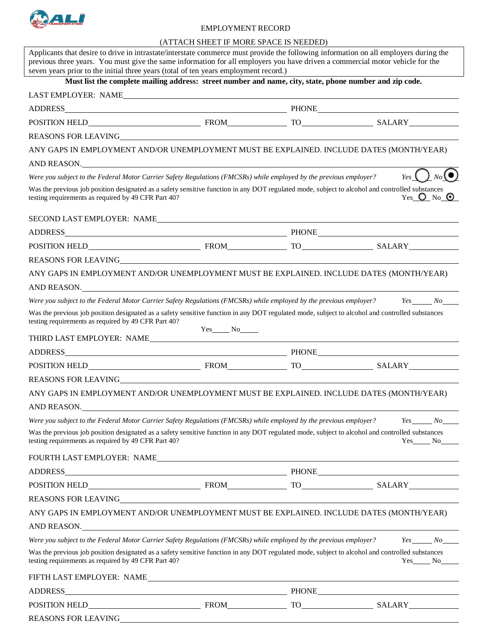

#### EMPLOYMENT RECORD

#### (ATTACH SHEET IF MORE SPACE IS NEEDED)

| Applicants that desire to drive in intrastate/interstate commerce must provide the following information on all employers during the<br>previous three years. You must give the same information for all employers you have driven a commercial motor vehicle for the<br>seven years prior to the initial three years (total of ten years employment record.) |              |                                                             |
|---------------------------------------------------------------------------------------------------------------------------------------------------------------------------------------------------------------------------------------------------------------------------------------------------------------------------------------------------------------|--------------|-------------------------------------------------------------|
| Must list the complete mailing address: street number and name, city, state, phone number and zip code.                                                                                                                                                                                                                                                       |              |                                                             |
| LAST EMPLOYER: NAME                                                                                                                                                                                                                                                                                                                                           |              |                                                             |
| ADDRESS PHONE PHONE PHONE PHONE PHONE                                                                                                                                                                                                                                                                                                                         |              |                                                             |
|                                                                                                                                                                                                                                                                                                                                                               |              |                                                             |
| REASONS FOR LEAVING THE SERIES OF STREET AND THE SERIES OF STREET AND THE SERIES OF STREET AND THE SERIES OF STREET AND THE SERIES OF STREET AND THE SERIES OF STREET AND THE SERIES OF STREET AND THE SERIES OF STREET AND TH                                                                                                                                |              |                                                             |
| ANY GAPS IN EMPLOYMENT AND/OR UNEMPLOYMENT MUST BE EXPLAINED. INCLUDE DATES (MONTH/YEAR)                                                                                                                                                                                                                                                                      |              |                                                             |
| AND REASON.                                                                                                                                                                                                                                                                                                                                                   |              |                                                             |
| Were you subject to the Federal Motor Carrier Safety Regulations (FMCSRs) while employed by the previous employer?                                                                                                                                                                                                                                            |              | $Y_{\text{es}}\left( \quad \right)_{N_{\text{o}}}(\bullet)$ |
| Was the previous job position designated as a safety sensitive function in any DOT regulated mode, subject to alcohol and controlled substances<br>testing requirements as required by 49 CFR Part 40?                                                                                                                                                        |              | Yes $\bigcirc$ No $\bigcirc$                                |
| SECOND LAST EMPLOYER: NAME                                                                                                                                                                                                                                                                                                                                    |              |                                                             |
|                                                                                                                                                                                                                                                                                                                                                               |              |                                                             |
|                                                                                                                                                                                                                                                                                                                                                               |              |                                                             |
|                                                                                                                                                                                                                                                                                                                                                               |              |                                                             |
| ANY GAPS IN EMPLOYMENT AND/OR UNEMPLOYMENT MUST BE EXPLAINED. INCLUDE DATES (MONTH/YEAR)                                                                                                                                                                                                                                                                      |              |                                                             |
| AND REASON.                                                                                                                                                                                                                                                                                                                                                   |              |                                                             |
| Were you subject to the Federal Motor Carrier Safety Regulations (FMCSRs) while employed by the previous employer? Yes No                                                                                                                                                                                                                                     |              |                                                             |
| Was the previous job position designated as a safety sensitive function in any DOT regulated mode, subject to alcohol and controlled substances<br>testing requirements as required by 49 CFR Part 40?                                                                                                                                                        | $Yes$ No $N$ |                                                             |
|                                                                                                                                                                                                                                                                                                                                                               |              |                                                             |
|                                                                                                                                                                                                                                                                                                                                                               |              |                                                             |
|                                                                                                                                                                                                                                                                                                                                                               |              |                                                             |
|                                                                                                                                                                                                                                                                                                                                                               |              |                                                             |
| ANY GAPS IN EMPLOYMENT AND/OR UNEMPLOYMENT MUST BE EXPLAINED. INCLUDE DATES (MONTH/YEAR)                                                                                                                                                                                                                                                                      |              |                                                             |
| AND REASON.<br><u> 1989 - Johann Stoff, deutscher Stoff, der Stoff, der Stoff, der Stoff, der Stoff, der Stoff, der Stoff, der S</u>                                                                                                                                                                                                                          |              |                                                             |
| Were you subject to the Federal Motor Carrier Safety Regulations (FMCSRs) while employed by the previous employer?                                                                                                                                                                                                                                            |              | $Yes \tNo$                                                  |
| Was the previous job position designated as a safety sensitive function in any DOT regulated mode, subject to alcohol and controlled substances<br>testing requirements as required by 49 CFR Part 40?                                                                                                                                                        |              | $Yes$ No $\_\_$                                             |
|                                                                                                                                                                                                                                                                                                                                                               |              |                                                             |
|                                                                                                                                                                                                                                                                                                                                                               |              |                                                             |
|                                                                                                                                                                                                                                                                                                                                                               |              |                                                             |
|                                                                                                                                                                                                                                                                                                                                                               |              |                                                             |
| ANY GAPS IN EMPLOYMENT AND/OR UNEMPLOYMENT MUST BE EXPLAINED. INCLUDE DATES (MONTH/YEAR)                                                                                                                                                                                                                                                                      |              |                                                             |
| AND REASON. The state of the state of the state of the state of the state of the state of the state of the state of the state of the state of the state of the state of the state of the state of the state of the state of th                                                                                                                                |              |                                                             |
| Were you subject to the Federal Motor Carrier Safety Regulations (FMCSRs) while employed by the previous employer?                                                                                                                                                                                                                                            |              | $Yes \t No$                                                 |
| Was the previous job position designated as a safety sensitive function in any DOT regulated mode, subject to alcohol and controlled substances<br>testing requirements as required by 49 CFR Part 40?                                                                                                                                                        |              | Yes No                                                      |
|                                                                                                                                                                                                                                                                                                                                                               |              |                                                             |
| ADDRESS PHONE PHONE PHONE                                                                                                                                                                                                                                                                                                                                     |              |                                                             |
|                                                                                                                                                                                                                                                                                                                                                               |              |                                                             |
|                                                                                                                                                                                                                                                                                                                                                               |              |                                                             |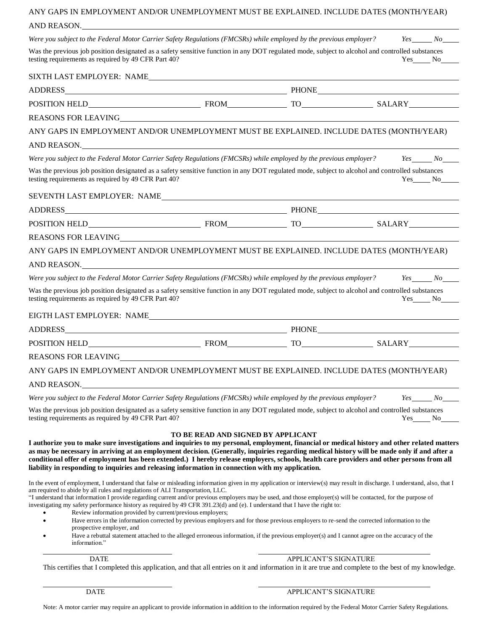# ANY GAPS IN EMPLOYMENT AND/OR UNEMPLOYMENT MUST BE EXPLAINED. INCLUDE DATES (MONTH/YEAR) AND REASON. *Were you subject to the Federal Motor Carrier Safety Regulations (FMCSRs) while employed by the previous employer? Yes No* Was the previous job position designated as a safety sensitive function in any DOT regulated mode, subject to alcohol and controlled substances testing requirements as required by 49 CFR Part 40? testing requirements as required by 49 CFR Part 40? SIXTH LAST EMPLOYER: NAME ADDRESS PHONE POSITION HELD FROM TO SALARY REASONS FOR LEAVING ANY GAPS IN EMPLOYMENT AND/OR UNEMPLOYMENT MUST BE EXPLAINED. INCLUDE DATES (MONTH/YEAR) AND REASON. *Were you subject to the Federal Motor Carrier Safety Regulations (FMCSRs) while employed by the previous employer? Yes No* Was the previous job position designated as a safety sensitive function in any DOT regulated mode, subject to alcohol and controlled substances testing requirements as required by 49 CFR Part 40? The North Contract of the North Contract of the North Contract of the North Contract of the North Contract of the North Contract of the North Contract of the North Contra SEVENTH LAST EMPLOYER: NAME ADDRESS PHONE POSITION HELD FROM TO SALARY REASONS FOR LEAVING ANY GAPS IN EMPLOYMENT AND/OR UNEMPLOYMENT MUST BE EXPLAINED. INCLUDE DATES (MONTH/YEAR) AND REASON. *Were you subject to the Federal Motor Carrier Safety Regulations (FMCSRs) while employed by the previous employer? Yes No* Was the previous job position designated as a safety sensitive function in any DOT regulated mode, subject to alcohol and controlled substances<br>testing requirements as required by 49 CFR Part 40? testing requirements as required by 49 CFR Part 40? EIGTH LAST EMPLOYER: NAME ADDRESS PHONE POSITION HELD FROM TO SALARY REASONS FOR LEAVING ANY GAPS IN EMPLOYMENT AND/OR UNEMPLOYMENT MUST BE EXPLAINED. INCLUDE DATES (MONTH/YEAR) AND REASON. *Were you subject to the Federal Motor Carrier Safety Regulations (FMCSRs) while employed by the previous employer? Yes No* Was the previous job position designated as a safety sensitive function in any DOT regulated mode, subject to alcohol and controlled substances testing requirements as required by 49 CFR Part 40? Yes No **TO BE READ AND SIGNED BY APPLICANT I authorize you to make sure investigations and inquiries to my personal, employment, financial or medical history and other related matters as may be necessary in arriving at an employment decision. (Generally, inquiries regarding medical history will be made only if and after a conditional offer of employment has been extended.) I hereby release employers, schools, health care providers and other persons from all liability in responding to inquiries and releasing information in connection with my application.** In the event of employment, I understand that false or misleading information given in my application or interview(s) may result in discharge. I understand, also, that I am required to abide by all rules and regulations of ALI Transportation, LLC. "I understand that information I provide regarding current and/or previous employers may be used, and those employer(s) will be contacted, for the purpose of investigating my safety performance history as required by 49 CFR 391.23(d) and (e). I understand that I have the right to: Review information provided by current/previous employers; • Have errors in the information corrected by previous employers and for those previous employers to re-send the corrected information to the prospective employer, and

• Have a rebuttal statement attached to the alleged erroneous information, if the previous employer(s) and I cannot agree on the accuracy of the information."

#### DATE APPLICANT'S SIGNATURE

This certifies that I completed this application, and that all entries on it and information in it are true and complete to the best of my knowledge.

#### DATE APPLICANT'S SIGNATURE

Note: A motor carrier may require an applicant to provide information in addition to the information required by the Federal Motor Carrier Safety Regulations.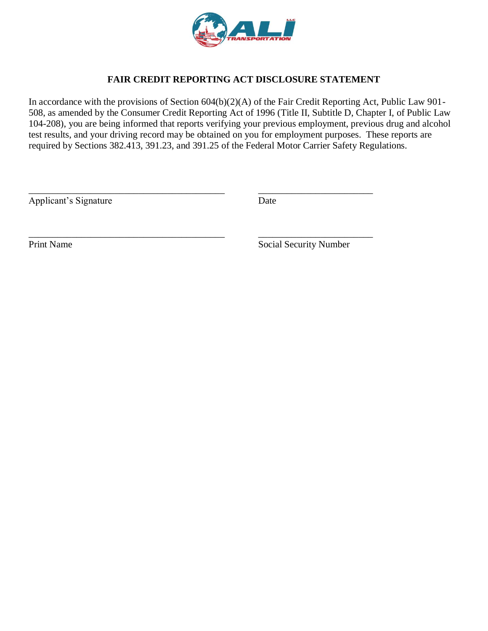

# **FAIR CREDIT REPORTING ACT DISCLOSURE STATEMENT**

In accordance with the provisions of Section 604(b)(2)(A) of the Fair Credit Reporting Act, Public Law 901- 508, as amended by the Consumer Credit Reporting Act of 1996 (Title II, Subtitle D, Chapter I, of Public Law 104-208), you are being informed that reports verifying your previous employment, previous drug and alcohol test results, and your driving record may be obtained on you for employment purposes. These reports are required by Sections 382.413, 391.23, and 391.25 of the Federal Motor Carrier Safety Regulations.

\_\_\_\_\_\_\_\_\_\_\_\_\_\_\_\_\_\_\_\_\_\_\_\_\_\_\_\_\_\_\_\_\_\_\_\_\_\_\_\_\_ \_\_\_\_\_\_\_\_\_\_\_\_\_\_\_\_\_\_\_\_\_\_\_\_

\_\_\_\_\_\_\_\_\_\_\_\_\_\_\_\_\_\_\_\_\_\_\_\_\_\_\_\_\_\_\_\_\_\_\_\_\_\_\_\_\_ \_\_\_\_\_\_\_\_\_\_\_\_\_\_\_\_\_\_\_\_\_\_\_\_

Applicant's Signature Date

Print Name Social Security Number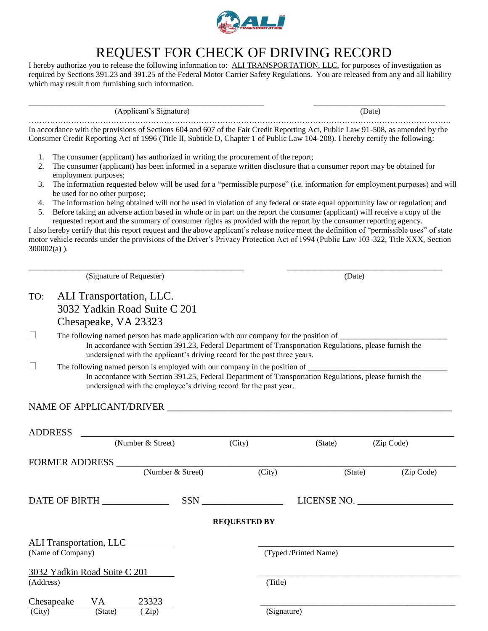

# REQUEST FOR CHECK OF DRIVING RECORD

I hereby authorize you to release the following information to: ALI TRANSPORTATION, LLC. for purposes of investigation as required by Sections 391.23 and 391.25 of the Federal Motor Carrier Safety Regulations. You are released from any and all liability which may result from furnishing such information.

| (Applicant's Signature) | (Date) |
|-------------------------|--------|
|                         |        |

In accordance with the provisions of Sections 604 and 607 of the Fair Credit Reporting Act, Public Law 91-508, as amended by the Consumer Credit Reporting Act of 1996 (Title II, Subtitle D, Chapter 1 of Public Law 104-208). I hereby certify the following:

- 1. The consumer (applicant) has authorized in writing the procurement of the report;
- 2. The consumer (applicant) has been informed in a separate written disclosure that a consumer report may be obtained for employment purposes;
- 3. The information requested below will be used for a "permissible purpose" (i.e. information for employment purposes) and will be used for no other purpose;
- 4. The information being obtained will not be used in violation of any federal or state equal opportunity law or regulation; and 5. Before taking an adverse action based in whole or in part on the report the consumer (applicant) will receive a copy of the
- requested report and the summary of consumer rights as provided with the report by the consumer reporting agency.

I also hereby certify that this report request and the above applicant's release notice meet the definition of "permissible uses" of state motor vehicle records under the provisions of the Driver's Privacy Protection Act of 1994 (Public Law 103-322, Title XXX, Section 300002(a) ).

|              |                                | (Signature of Requester)                                                                                                                                                             |                     | (Date)                |            |
|--------------|--------------------------------|--------------------------------------------------------------------------------------------------------------------------------------------------------------------------------------|---------------------|-----------------------|------------|
| TO:          | ALI Transportation, LLC.       |                                                                                                                                                                                      |                     |                       |            |
|              |                                | 3032 Yadkin Road Suite C 201                                                                                                                                                         |                     |                       |            |
|              | Chesapeake, VA 23323           |                                                                                                                                                                                      |                     |                       |            |
| $\mathbf{L}$ |                                |                                                                                                                                                                                      |                     |                       |            |
|              |                                | In accordance with Section 391.23, Federal Department of Transportation Regulations, please furnish the<br>undersigned with the applicant's driving record for the past three years. |                     |                       |            |
|              |                                |                                                                                                                                                                                      |                     |                       |            |
|              |                                | In accordance with Section 391.25, Federal Department of Transportation Regulations, please furnish the<br>undersigned with the employee's driving record for the past year.         |                     |                       |            |
|              |                                |                                                                                                                                                                                      |                     |                       |            |
|              |                                | NAME OF APPLICANT/DRIVER                                                                                                                                                             |                     |                       |            |
|              |                                |                                                                                                                                                                                      |                     |                       |            |
|              | <b>ADDRESS</b>                 | (Number & Street) (City)                                                                                                                                                             |                     |                       |            |
|              |                                |                                                                                                                                                                                      |                     | (State)               | (Zip Code) |
|              |                                |                                                                                                                                                                                      |                     |                       |            |
|              |                                |                                                                                                                                                                                      |                     |                       |            |
|              |                                | (Number & Street)                                                                                                                                                                    | (City)              | (State)               | (Zip Code) |
|              |                                |                                                                                                                                                                                      |                     |                       |            |
|              | DATE OF BIRTH ____________     |                                                                                                                                                                                      | SSN <sub>3</sub>    | LICENSE NO.           |            |
|              |                                |                                                                                                                                                                                      |                     |                       |            |
|              |                                |                                                                                                                                                                                      | <b>REQUESTED BY</b> |                       |            |
|              | <b>ALI Transportation, LLC</b> |                                                                                                                                                                                      |                     |                       |            |
|              | (Name of Company)              |                                                                                                                                                                                      |                     | (Typed /Printed Name) |            |
|              |                                |                                                                                                                                                                                      |                     |                       |            |
|              | 3032 Yadkin Road Suite C 201   |                                                                                                                                                                                      | (Title)             |                       |            |
| (Address)    | Chesapeake<br>VA.              | 23323                                                                                                                                                                                |                     |                       |            |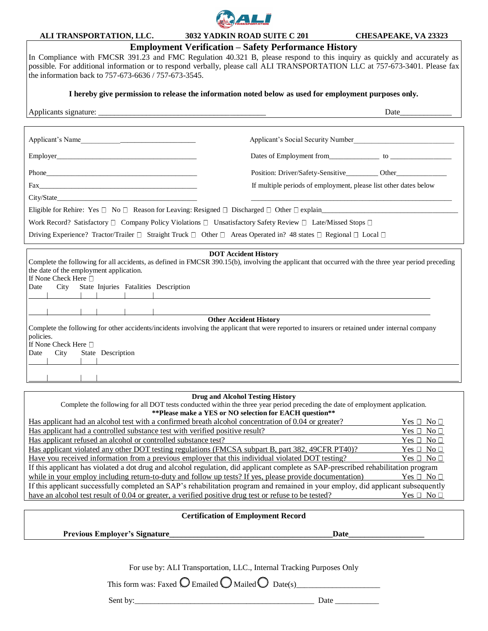

**ALI TRANSPORTATION, LLC. 3032 YADKIN ROAD SUITE C 201 CHESAPEAKE, VA 23323**

### **Employment Verification – Safety Performance History**

In Compliance with FMCSR 391.23 and FMC Regulation 40.321 B, please respond to this inquiry as quickly and accurately as possible. For additional information or to respond verbally, please call ALI TRANSPORTATION LLC at 757-673-3401. Please fax the information back to 757-673-6636 / 757-673-3545.

**I hereby give permission to release the information noted below as used for employment purposes only.**

| Applicant's Name                                                                                                                                                                                                                                                                                                                                                                                                                                                                                                                                                                                                                                                                                                                                       | Applicant's Social Security Number                                                |  |  |  |
|--------------------------------------------------------------------------------------------------------------------------------------------------------------------------------------------------------------------------------------------------------------------------------------------------------------------------------------------------------------------------------------------------------------------------------------------------------------------------------------------------------------------------------------------------------------------------------------------------------------------------------------------------------------------------------------------------------------------------------------------------------|-----------------------------------------------------------------------------------|--|--|--|
|                                                                                                                                                                                                                                                                                                                                                                                                                                                                                                                                                                                                                                                                                                                                                        |                                                                                   |  |  |  |
|                                                                                                                                                                                                                                                                                                                                                                                                                                                                                                                                                                                                                                                                                                                                                        | Position: Driver/Safety-Sensitive__________ Other________________________________ |  |  |  |
|                                                                                                                                                                                                                                                                                                                                                                                                                                                                                                                                                                                                                                                                                                                                                        | If multiple periods of employment, please list other dates below                  |  |  |  |
| City/State City/State                                                                                                                                                                                                                                                                                                                                                                                                                                                                                                                                                                                                                                                                                                                                  |                                                                                   |  |  |  |
| Eligible for Rehire: Yes $\Box$ No $\Box$ Reason for Leaving: Resigned $\Box$ Discharged $\Box$ Other $\Box$ explain                                                                                                                                                                                                                                                                                                                                                                                                                                                                                                                                                                                                                                   |                                                                                   |  |  |  |
| Work Record? Satisfactory $\Box$ Company Policy Violations $\Box$ Unsatisfactory Safety Review $\Box$ Late/Missed Stops $\Box$                                                                                                                                                                                                                                                                                                                                                                                                                                                                                                                                                                                                                         |                                                                                   |  |  |  |
| Driving Experience? Tractor/Trailer $\Box$ Straight Truck $\Box$ Other $\Box$ Areas Operated in? 48 states $\Box$ Regional $\Box$ Local $\Box$                                                                                                                                                                                                                                                                                                                                                                                                                                                                                                                                                                                                         |                                                                                   |  |  |  |
| <b>DOT Accident History</b><br>Complete the following for all accidents, as defined in FMCSR 390.15(b), involving the applicant that occurred with the three year period preceding<br>the date of the employment application.<br>If None Check Here $\Box$<br>State Injuries Fatalities Description<br>City<br>Date<br><u> 1989 - Johann Stein, mars an deutscher Stein und der Stein und der Stein und der Stein und der Stein und der</u><br><u> 1989 - Jan Alexander Stadt, fransk kongresu i stadt for de formanne og formanne og formanne og formanne og f</u><br><b>Other Accident History</b><br>Complete the following for other accidents/incidents involving the applicant that were reported to insurers or retained under internal company |                                                                                   |  |  |  |
| policies.<br>If None Check Here □<br>City<br>State Description<br>Date                                                                                                                                                                                                                                                                                                                                                                                                                                                                                                                                                                                                                                                                                 |                                                                                   |  |  |  |
|                                                                                                                                                                                                                                                                                                                                                                                                                                                                                                                                                                                                                                                                                                                                                        |                                                                                   |  |  |  |

#### **Drug and Alcohol Testing History**

| Complete the following for all DOT tests conducted within the three year period preceding the date of employment application.     |                    |  |  |  |
|-----------------------------------------------------------------------------------------------------------------------------------|--------------------|--|--|--|
| ** Please make a YES or NO selection for EACH question**                                                                          |                    |  |  |  |
| Has applicant had an alcohol test with a confirmed breath alcohol concentration of 0.04 or greater?                               | $Yes \Box No \Box$ |  |  |  |
| Has applicant had a controlled substance test with verified positive result?                                                      | $Yes \Box No \Box$ |  |  |  |
| Has applicant refused an alcohol or controlled substance test?                                                                    | $Yes \Box No \Box$ |  |  |  |
| Has applicant violated any other DOT testing regulations (FMCSA subpart B, part 382, 49CFR PT40)?                                 | $Yes \Box No \Box$ |  |  |  |
| Have you received information from a previous employer that this individual violated DOT testing?                                 | $Yes \Box No \Box$ |  |  |  |
| If this applicant has violated a dot drug and alcohol regulation, did applicant complete as SAP-prescribed rehabilitation program |                    |  |  |  |
| while in your employ including return-to-duty and follow up tests? If yes, please provide documentation)                          | $Yes \Box No \Box$ |  |  |  |
| If this applicant successfully completed an SAP's rehabilitation program and remained in your employ, did applicant subsequently  |                    |  |  |  |
| have an alcohol test result of 0.04 or greater, a verified positive drug test or refuse to be tested?<br>Yes □ No □               |                    |  |  |  |
|                                                                                                                                   |                    |  |  |  |

#### **Certification of Employment Record**

**Previous Employer's Signature\_\_\_\_\_\_\_\_\_\_\_\_\_\_\_\_\_\_\_\_\_\_\_\_\_\_\_\_\_\_\_\_\_\_\_\_\_\_\_\_\_Date\_\_\_\_\_\_\_\_\_\_\_\_\_\_\_\_\_\_\_**

For use by: ALI Transportation, LLC., Internal Tracking Purposes Only

This form was: Faxed  $\bigcirc$  Emailed  $\bigcirc$  Mailed  $\bigcirc$  Date(s)

Sent by:\_\_\_\_\_\_\_\_\_\_\_\_\_\_\_\_\_\_\_\_\_\_\_\_\_\_\_\_\_\_\_\_\_\_\_\_\_\_\_\_\_\_\_\_\_ Date \_\_\_\_\_\_\_\_\_\_\_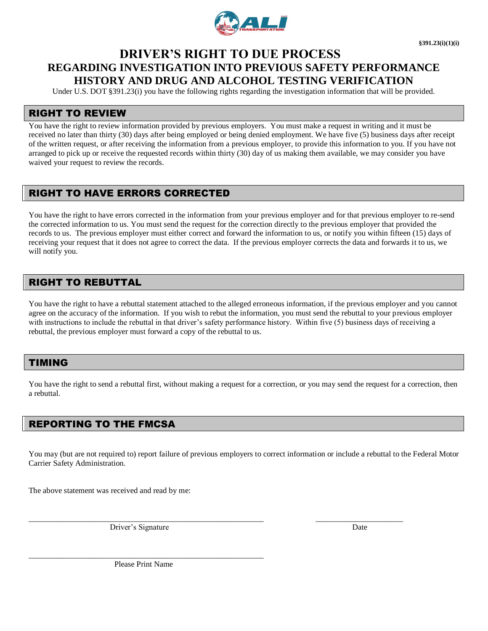

# **DRIVER'S RIGHT TO DUE PROCESS REGARDING INVESTIGATION INTO PREVIOUS SAFETY PERFORMANCE HISTORY AND DRUG AND ALCOHOL TESTING VERIFICATION**

Under U.S. DOT §391.23(i) you have the following rights regarding the investigation information that will be provided.

#### RIGHT TO REVIEW

You have the right to review information provided by previous employers. You must make a request in writing and it must be received no later than thirty (30) days after being employed or being denied employment. We have five (5) business days after receipt of the written request, or after receiving the information from a previous employer, to provide this information to you. If you have not arranged to pick up or receive the requested records within thirty (30) day of us making them available, we may consider you have waived your request to review the records.

# RIGHT TO HAVE ERRORS CORRECTED

You have the right to have errors corrected in the information from your previous employer and for that previous employer to re-send the corrected information to us. You must send the request for the correction directly to the previous employer that provided the records to us. The previous employer must either correct and forward the information to us, or notify you within fifteen (15) days of receiving your request that it does not agree to correct the data. If the previous employer corrects the data and forwards it to us, we will notify you.

## RIGHT TO REBUTTAL

You have the right to have a rebuttal statement attached to the alleged erroneous information, if the previous employer and you cannot agree on the accuracy of the information. If you wish to rebut the information, you must send the rebuttal to your previous employer with instructions to include the rebuttal in that driver's safety performance history. Within five (5) business days of receiving a rebuttal, the previous employer must forward a copy of the rebuttal to us.

#### TIMING

You have the right to send a rebuttal first, without making a request for a correction, or you may send the request for a correction, then a rebuttal.

#### REPORTING TO THE FMCSA

You may (but are not required to) report failure of previous employers to correct information or include a rebuttal to the Federal Motor Carrier Safety Administration.

The above statement was received and read by me:

Driver's Signature Date Date by the United States of the Date Date Date

\_\_\_\_\_\_\_\_\_\_\_\_\_\_\_\_\_\_\_\_\_\_\_\_\_\_\_\_\_\_\_\_\_\_\_\_\_\_\_\_\_\_\_\_\_\_\_\_\_\_\_\_\_\_\_\_\_\_\_ \_\_\_\_\_\_\_\_\_\_\_\_\_\_\_\_\_\_\_\_\_\_

\_\_\_\_\_\_\_\_\_\_\_\_\_\_\_\_\_\_\_\_\_\_\_\_\_\_\_\_\_\_\_\_\_\_\_\_\_\_\_\_\_\_\_\_\_\_\_\_\_\_\_\_\_\_\_\_\_\_\_ Please Print Name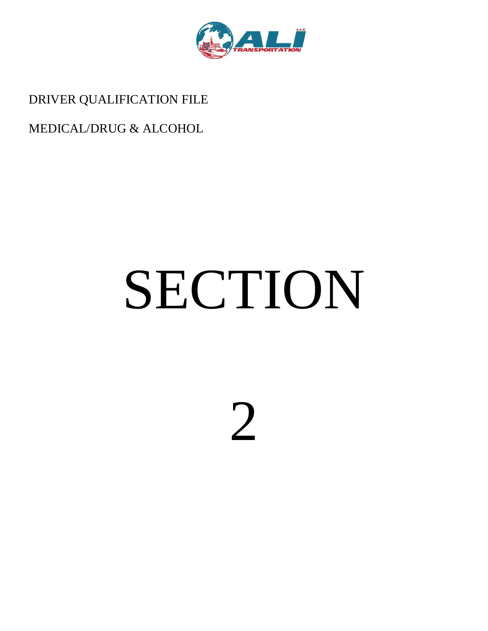

DRIVER QUALIFICATION FILE

# MEDICAL/DRUG & ALCOHOL

# SECTION

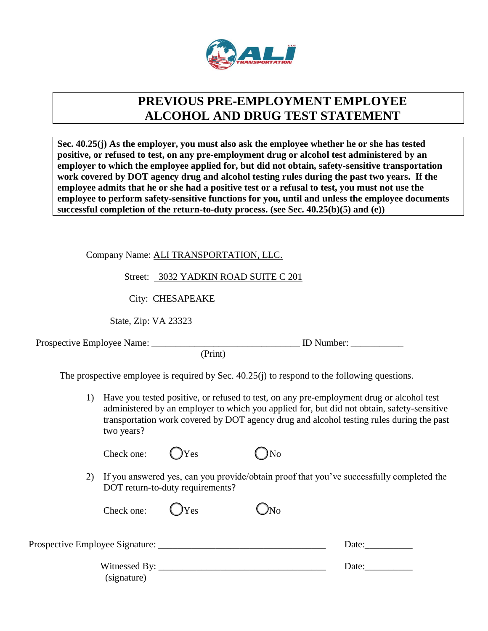

# **PREVIOUS PRE-EMPLOYMENT EMPLOYEE ALCOHOL AND DRUG TEST STATEMENT**

**Sec. 40.25(j) As the employer, you must also ask the employee whether he or she has tested positive, or refused to test, on any pre-employment drug or alcohol test administered by an employer to which the employee applied for, but did not obtain, safety-sensitive transportation work covered by DOT agency drug and alcohol testing rules during the past two years. If the employee admits that he or she had a positive test or a refusal to test, you must not use the employee to perform safety-sensitive functions for you, until and unless the employee documents successful completion of the return-to-duty process. (see Sec. 40.25(b)(5) and (e))**

Company Name: ALI TRANSPORTATION, LLC.

Street: 3032 YADKIN ROAD SUITE C 201

City: CHESAPEAKE

State, Zip: VA 23323

Prospective Employee Name: \_\_\_\_\_\_\_\_\_\_\_\_\_\_\_\_\_\_\_\_\_\_\_\_\_\_\_\_\_\_\_ ID Number: \_\_\_\_\_\_\_\_\_\_\_

(Print)

The prospective employee is required by Sec. 40.25(j) to respond to the following questions.

1) Have you tested positive, or refused to test, on any pre-employment drug or alcohol test administered by an employer to which you applied for, but did not obtain, safety-sensitive transportation work covered by DOT agency drug and alcohol testing rules during the past two years?

| Check one: | $QY$ es | $\bigcirc$ No |
|------------|---------|---------------|
|            |         |               |

2) If you answered yes, can you provide/obtain proof that you've successfully completed the DOT return-to-duty requirements?

| Check one:                      | V | Љо |       |
|---------------------------------|---|----|-------|
| Prospective Employee Signature: |   |    | Date: |

| $- - -$<br>.<br>. |  |
|-------------------|--|
|                   |  |

(signature)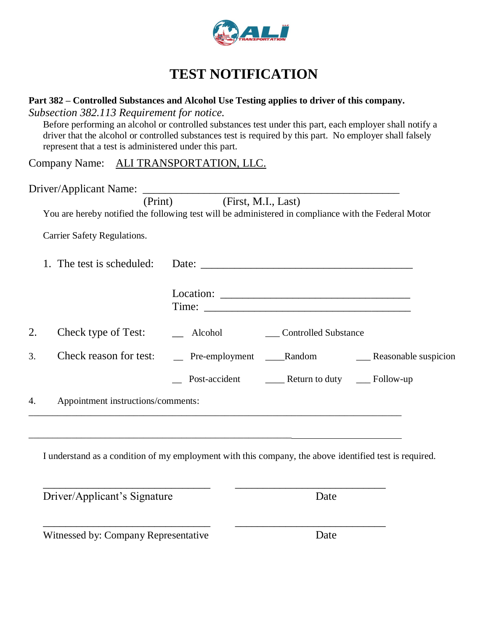

# **TEST NOTIFICATION**

## **Part 382 – Controlled Substances and Alcohol Use Testing applies to driver of this company.** *Subsection 382.113 Requirement for notice.*

Before performing an alcohol or controlled substances test under this part, each employer shall notify a driver that the alcohol or controlled substances test is required by this part. No employer shall falsely represent that a test is administered under this part.

Company Name: ALI TRANSPORTATION, LLC.

Driver/Applicant Name: \_\_\_\_\_\_\_\_\_\_\_\_\_\_\_\_\_\_\_\_\_\_\_\_\_\_\_\_\_\_\_\_\_\_\_\_\_\_\_\_\_\_\_\_\_\_ (Print) (First, M.I., Last) You are hereby notified the following test will be administered in compliance with the Federal Motor Carrier Safety Regulations. 1. The test is scheduled: Date: Location: Time: 2. Check type of Test: \_\_\_ Alcohol \_\_\_ Controlled Substance 3. Check reason for test: \_\_\_ Pre-employment \_\_\_\_Random \_\_\_\_\_\_\_\_Reasonable suspicion \_\_ Post-accident \_\_\_\_ Return to duty \_\_\_ Follow-up 4. Appointment instructions/comments: \_\_\_\_\_\_\_\_\_\_\_\_\_\_\_\_\_\_\_\_\_\_\_\_\_\_\_\_\_\_\_\_\_\_\_\_\_\_\_\_\_\_\_\_\_\_\_\_\_\_\_\_\_\_\_\_\_\_\_\_\_\_\_\_\_\_\_\_\_\_\_\_\_\_\_\_\_\_ \_\_\_\_\_\_\_\_\_\_\_\_\_\_\_\_\_\_\_\_\_\_\_\_\_\_\_\_\_\_\_\_\_\_\_\_\_\_\_\_\_\_\_\_\_\_\_\_\_\_\_\_\_\_\_ I understand as a condition of my employment with this company, the above identified test is required. \_\_\_\_\_\_\_\_\_\_\_\_\_\_\_\_\_\_\_\_\_\_\_\_\_\_\_\_\_\_ \_\_\_\_\_\_\_\_\_\_\_\_\_\_\_\_\_\_\_\_\_\_\_\_\_\_\_

| Driver/Applicant's Signature         | Date |
|--------------------------------------|------|
|                                      |      |
| Witnessed by: Company Representative | Date |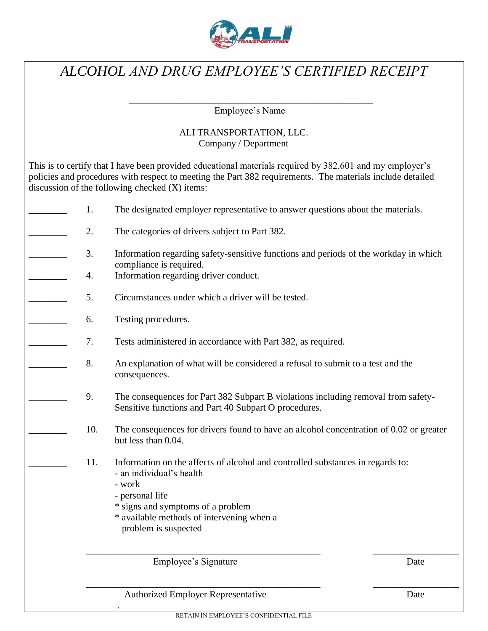

# *ALCOHOL AND DRUG EMPLOYEE'S CERTIFIED RECEIPT*

\_\_\_\_\_\_\_\_\_\_\_\_\_\_\_\_\_\_\_\_\_\_\_\_\_\_\_\_\_\_\_\_\_\_\_\_\_\_\_\_\_\_\_\_\_\_\_\_\_\_\_ Employee's Name

### ALI TRANSPORTATION, LLC. Company / Department

This is to certify that I have been provided educational materials required by 382.601 and my employer's policies and procedures with respect to meeting the Part 382 requirements. The materials include detailed

|     | discussion of the following checked $(X)$ items:                                                                                           |
|-----|--------------------------------------------------------------------------------------------------------------------------------------------|
| 1.  | The designated employer representative to answer questions about the materials.                                                            |
| 2.  | The categories of drivers subject to Part 382.                                                                                             |
| 3.  | Information regarding safety-sensitive functions and periods of the workday in which<br>compliance is required.                            |
| 4.  | Information regarding driver conduct.                                                                                                      |
| 5.  | Circumstances under which a driver will be tested.                                                                                         |
| 6.  | Testing procedures.                                                                                                                        |
| 7.  | Tests administered in accordance with Part 382, as required.                                                                               |
| 8.  | An explanation of what will be considered a refusal to submit to a test and the<br>consequences.                                           |
| 9.  | The consequences for Part 382 Subpart B violations including removal from safety-<br>Sensitive functions and Part 40 Subpart O procedures. |
| 10. | The consequences for drivers found to have an alcohol concentration of 0.02 or greater<br>but less than 0.04.                              |
| 11. | Information on the affects of alcohol and controlled substances in regards to:<br>- an individual's health<br>- work                       |
|     | - personal life                                                                                                                            |
|     | * signs and symptoms of a problem<br>* available methods of intervening when a                                                             |
|     | problem is suspected                                                                                                                       |
|     |                                                                                                                                            |
|     |                                                                                                                                            |

Employee's Signature Date

Authorized Employer Representative Date

.

\_\_\_\_\_\_\_\_\_\_\_\_\_\_\_\_\_\_\_\_\_\_\_\_\_\_\_\_\_\_\_\_\_\_\_\_\_\_\_\_\_\_\_\_\_\_\_\_\_ \_\_\_\_\_\_\_\_\_\_\_\_\_\_\_\_\_\_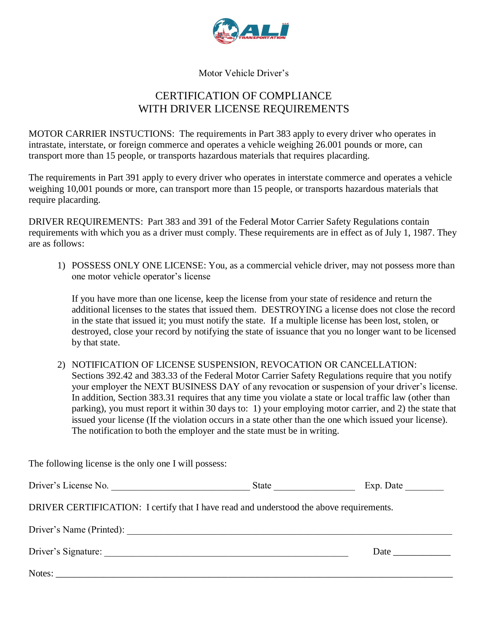

Motor Vehicle Driver's

# CERTIFICATION OF COMPLIANCE WITH DRIVER LICENSE REQUIREMENTS

MOTOR CARRIER INSTUCTIONS: The requirements in Part 383 apply to every driver who operates in intrastate, interstate, or foreign commerce and operates a vehicle weighing 26.001 pounds or more, can transport more than 15 people, or transports hazardous materials that requires placarding.

The requirements in Part 391 apply to every driver who operates in interstate commerce and operates a vehicle weighing 10,001 pounds or more, can transport more than 15 people, or transports hazardous materials that require placarding.

DRIVER REQUIREMENTS: Part 383 and 391 of the Federal Motor Carrier Safety Regulations contain requirements with which you as a driver must comply. These requirements are in effect as of July 1, 1987. They are as follows:

1) POSSESS ONLY ONE LICENSE: You, as a commercial vehicle driver, may not possess more than one motor vehicle operator's license

If you have more than one license, keep the license from your state of residence and return the additional licenses to the states that issued them. DESTROYING a license does not close the record in the state that issued it; you must notify the state. If a multiple license has been lost, stolen, or destroyed, close your record by notifying the state of issuance that you no longer want to be licensed by that state.

2) NOTIFICATION OF LICENSE SUSPENSION, REVOCATION OR CANCELLATION: Sections 392.42 and 383.33 of the Federal Motor Carrier Safety Regulations require that you notify your employer the NEXT BUSINESS DAY of any revocation or suspension of your driver's license. In addition, Section 383.31 requires that any time you violate a state or local traffic law (other than parking), you must report it within 30 days to: 1) your employing motor carrier, and 2) the state that issued your license (If the violation occurs in a state other than the one which issued your license). The notification to both the employer and the state must be in writing.

The following license is the only one I will possess:

| Driver's License No.                                                                    | <b>State</b> State State State State State State State State State State State State State State State State State State State State State State State State State State State State State State State State State State State Stat | Exp. Date $\_\_$                                                                                                                                                                                                              |
|-----------------------------------------------------------------------------------------|-------------------------------------------------------------------------------------------------------------------------------------------------------------------------------------------------------------------------------------|-------------------------------------------------------------------------------------------------------------------------------------------------------------------------------------------------------------------------------|
| DRIVER CERTIFICATION: I certify that I have read and understood the above requirements. |                                                                                                                                                                                                                                     |                                                                                                                                                                                                                               |
| Driver's Name (Printed):                                                                |                                                                                                                                                                                                                                     |                                                                                                                                                                                                                               |
|                                                                                         |                                                                                                                                                                                                                                     | Date and the same state of the state of the state of the state of the state of the state of the state of the state of the state of the state of the state of the state of the state of the state of the state of the state of |
|                                                                                         |                                                                                                                                                                                                                                     |                                                                                                                                                                                                                               |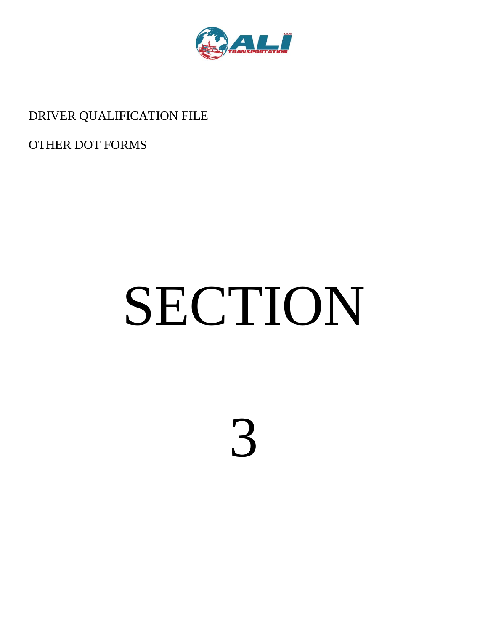

# DRIVER QUALIFICATION FILE

OTHER DOT FORMS

# SECTION

3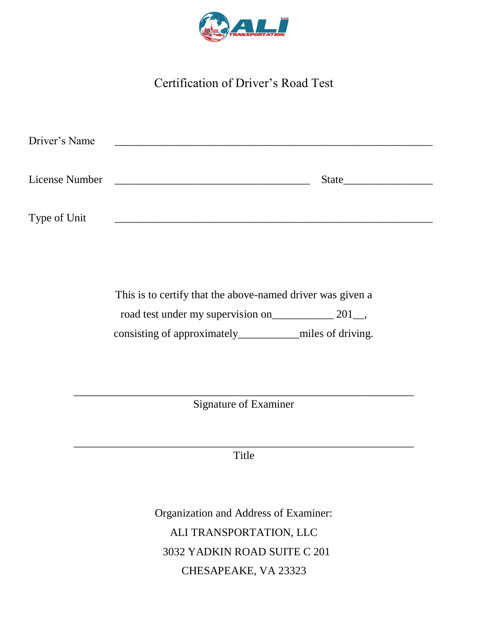

# Certification of Driver's Road Test

| Driver's Name  |       |  |
|----------------|-------|--|
|                |       |  |
| License Number | State |  |
|                |       |  |
|                |       |  |
| Type of Unit   |       |  |

This is to certify that the above-named driver was given a road test under my supervision on\_\_\_\_\_\_\_\_\_\_\_\_\_ 201\_, consisting of approximately\_\_\_\_\_\_\_\_\_\_\_miles of driving.

\_\_\_\_\_\_\_\_\_\_\_\_\_\_\_\_\_\_\_\_\_\_\_\_\_\_\_\_\_\_\_\_\_\_\_\_\_\_\_\_\_\_\_\_\_\_\_\_\_\_\_\_\_\_\_\_\_\_\_\_\_ Signature of Examiner

\_\_\_\_\_\_\_\_\_\_\_\_\_\_\_\_\_\_\_\_\_\_\_\_\_\_\_\_\_\_\_\_\_\_\_\_\_\_\_\_\_\_\_\_\_\_\_\_\_\_\_\_\_\_\_\_\_\_\_\_\_ Title

> Organization and Address of Examiner: ALI TRANSPORTATION, LLC 3032 YADKIN ROAD SUITE C 201 CHESAPEAKE, VA 23323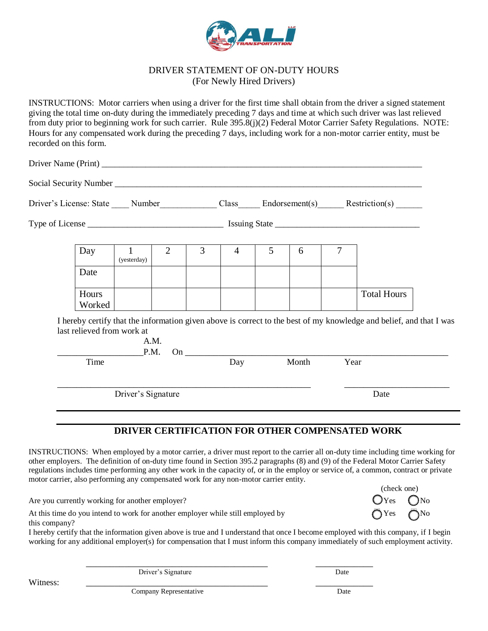

#### DRIVER STATEMENT OF ON-DUTY HOURS (For Newly Hired Drivers)

INSTRUCTIONS: Motor carriers when using a driver for the first time shall obtain from the driver a signed statement giving the total time on-duty during the immediately preceding 7 days and time at which such driver was last relieved from duty prior to beginning work for such carrier. Rule 395.8(j)(2) Federal Motor Carrier Safety Regulations. NOTE: Hours for any compensated work during the preceding 7 days, including work for a non-motor carrier entity, must be recorded on this form.

Driver Name (Print) Social Security Number \_\_\_\_\_\_\_\_\_\_\_\_\_\_\_\_\_\_\_\_\_\_\_\_\_\_\_\_\_\_\_\_\_\_\_\_\_\_\_\_\_\_\_\_\_\_\_\_\_\_\_\_\_\_\_\_\_\_\_\_\_\_\_\_\_\_\_\_\_\_ Driver's License: State \_\_\_\_ Number \_\_\_\_\_\_\_\_\_\_\_\_ Class \_\_\_\_\_ Endorsement(s) Restriction(s) Type of License \_\_\_\_\_\_\_\_\_\_\_\_\_\_\_\_\_\_\_\_\_\_\_\_\_\_\_\_\_\_\_ Issuing State \_\_\_\_\_\_\_\_\_\_\_\_\_\_\_\_\_\_\_\_\_\_\_\_\_\_\_\_\_\_\_\_\_ I hereby certify that the information given above is correct to the best of my knowledge and belief, and that I was last relieved from work at A.M. \_\_\_\_\_\_\_\_\_\_\_\_\_\_\_\_\_\_P.M. On \_\_\_\_\_\_\_\_\_\_\_\_\_\_\_\_\_\_\_\_\_\_\_\_\_\_\_\_\_\_\_\_\_\_\_\_\_\_\_\_\_\_\_\_\_\_\_\_\_\_\_\_\_\_\_ Time Day Month Year \_\_\_\_\_\_\_\_\_\_\_\_\_\_\_\_\_\_\_\_\_\_\_\_\_\_\_\_\_\_\_\_\_\_\_\_\_\_\_\_\_\_\_\_\_\_\_\_\_\_\_\_\_ \_\_\_\_\_\_\_\_\_\_\_\_\_\_\_\_\_\_\_\_\_\_ Driver's Signature Date Day  $\vert$  1 (yesterday) 2 3 4 5 6 7 Date **Hours** Worked Total Hours

# **DRIVER CERTIFICATION FOR OTHER COMPENSATED WORK**

INSTRUCTIONS: When employed by a motor carrier, a driver must report to the carrier all on-duty time including time working for other employers. The definition of on-duty time found in Section 395.2 paragraphs (8) and (9) of the Federal Motor Carrier Safety regulations includes time performing any other work in the capacity of, or in the employ or service of, a common, contract or private motor carrier, also performing any compensated work for any non-motor carrier entity.

Are you currently working for another employer?

At this time do you intend to work for another employer while still employed by  $\bigcap_{\alpha} \text{Yes}$   $\bigcap_{\alpha} \text{Yes}$ this company?

I hereby certify that the information given above is true and I understand that once I become employed with this company, if I begin working for any additional employer(s) for compensation that I must inform this company immediately of such employment activity.

Witness: \_\_\_\_\_\_\_\_\_\_\_\_\_\_\_\_\_\_\_\_\_\_\_\_\_\_\_\_\_\_\_\_\_\_\_\_\_\_ \_\_\_\_\_\_\_\_\_\_\_\_

Driver's Signature Date

\_\_\_\_\_\_\_\_\_\_\_\_\_\_\_\_\_\_\_\_\_\_\_\_\_\_\_\_\_\_\_\_\_\_\_\_\_\_ \_\_\_\_\_\_\_\_\_\_\_\_

(check one)

Company Representative Date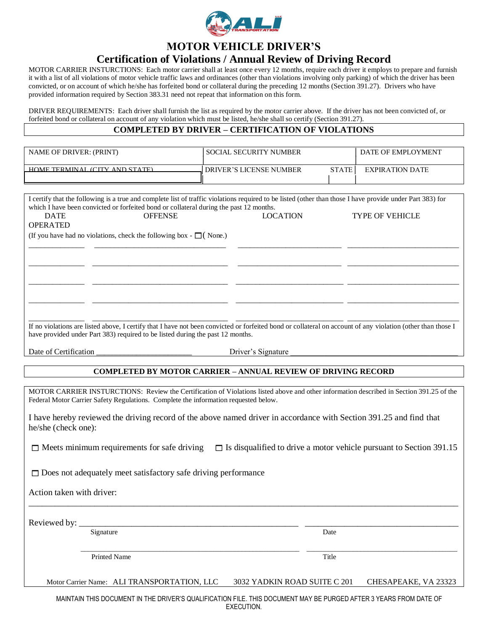

## **MOTOR VEHICLE DRIVER'S**

# **Certification of Violations / Annual Review of Driving Record**

MOTOR CARRIER INSTURCTIONS: Each motor carrier shall at least once every 12 months, require each driver it employs to prepare and furnish it with a list of all violations of motor vehicle traffic laws and ordinances (other than violations involving only parking) of which the driver has been convicted, or on account of which he/she has forfeited bond or collateral during the preceding 12 months (Section 391.27). Drivers who have provided information required by Section 383.31 need not repeat that information on this form.

DRIVER REQUIREMENTS: Each driver shall furnish the list as required by the motor carrier above. If the driver has not been convicted of, or forfeited bond or collateral on account of any violation which must be listed, he/she shall so certify (Section 391.27).

#### **COMPLETED BY DRIVER – CERTIFICATION OF VIOLATIONS**

| <b>NAME OF DRIVER: (PRINT)</b>                                                                                                                                                                                                                | <b>SOCIAL SECURITY NUMBER</b>                  | DATE OF EMPLOYMENT     |
|-----------------------------------------------------------------------------------------------------------------------------------------------------------------------------------------------------------------------------------------------|------------------------------------------------|------------------------|
| HOME TERMINAL (CITY AND STATE)                                                                                                                                                                                                                | <b>STATE</b><br><b>DRIVER'S LICENSE NUMBER</b> | <b>EXPIRATION DATE</b> |
| I certify that the following is a true and complete list of traffic violations required to be listed (other than those I have provide under Part 383) for                                                                                     |                                                |                        |
| which I have been convicted or forfeited bond or collateral during the past 12 months.                                                                                                                                                        |                                                |                        |
| <b>OFFENSE</b><br><b>DATE</b><br><b>OPERATED</b>                                                                                                                                                                                              | <b>LOCATION</b>                                | <b>TYPE OF VEHICLE</b> |
| (If you have had no violations, check the following box - $\Box$ ) (None.)                                                                                                                                                                    |                                                |                        |
|                                                                                                                                                                                                                                               |                                                |                        |
|                                                                                                                                                                                                                                               |                                                |                        |
|                                                                                                                                                                                                                                               |                                                |                        |
|                                                                                                                                                                                                                                               |                                                |                        |
|                                                                                                                                                                                                                                               |                                                |                        |
|                                                                                                                                                                                                                                               |                                                |                        |
| If no violations are listed above, I certify that I have not been convicted or forfeited bond or collateral on account of any violation (other than those I<br>have provided under Part 383) required to be listed during the past 12 months. |                                                |                        |

Date of Certification **Departuments** Driver's Signature **Driver's** Signature  $\frac{1}{2}$ 

#### **COMPLETED BY MOTOR CARRIER – ANNUAL REVIEW OF DRIVING RECORD**

MOTOR CARRIER INSTURCTIONS: Review the Certification of Violations listed above and other information described in Section 391.25 of the Federal Motor Carrier Safety Regulations. Complete the information requested below.

I have hereby reviewed the driving record of the above named driver in accordance with Section 391.25 and find that he/she (check one):

 $\Box$  Meets minimum requirements for safe driving  $\Box$  Is disqualified to drive a motor vehicle pursuant to Section 391.15

\_\_\_\_\_\_\_\_\_\_\_\_\_\_\_\_\_\_\_\_\_\_\_\_\_\_\_\_\_\_\_\_\_\_\_\_\_\_\_\_\_\_\_\_\_\_\_\_\_\_\_\_\_\_\_\_\_\_\_\_\_\_\_\_\_\_\_\_\_\_\_\_\_\_\_\_\_\_\_\_\_\_\_\_\_\_\_\_\_\_\_\_\_\_\_\_\_\_

 $\square$  Does not adequately meet satisfactory safe driving performance

Action taken with driver:

Reviewed by: \_\_\_\_\_\_\_\_\_\_\_\_\_\_\_\_\_\_\_\_\_\_\_\_\_\_\_\_\_\_\_\_\_\_\_\_\_\_\_\_\_\_\_\_\_\_\_\_\_\_ \_\_\_\_\_\_\_\_\_\_\_\_\_\_\_\_\_\_\_\_\_\_\_\_\_\_\_\_\_\_\_\_\_\_\_ Signature Date

Printed Name Title

Motor Carrier Name: ALI TRANSPORTATION, LLC 3032 YADKIN ROAD SUITE C 201 CHESAPEAKE, VA 23323

 $\mathcal{L}_\text{max} = \frac{1}{2} \sum_{i=1}^{n} \mathcal{L}_i \mathcal{L}_i + \frac{1}{2} \sum_{i=1}^{n} \mathcal{L}_i \mathcal{L}_i + \frac{1}{2} \sum_{i=1}^{n} \mathcal{L}_i \mathcal{L}_i + \frac{1}{2} \sum_{i=1}^{n} \mathcal{L}_i \mathcal{L}_i + \frac{1}{2} \sum_{i=1}^{n} \mathcal{L}_i \mathcal{L}_i + \frac{1}{2} \sum_{i=1}^{n} \mathcal{L}_i \mathcal{L}_i + \frac{1}{2} \sum_{i=1}^{n$ 

 MAINTAIN THIS DOCUMENT IN THE DRIVER'S QUALIFICATION FILE. THIS DOCUMENT MAY BE PURGED AFTER 3 YEARS FROM DATE OF EXECUTION.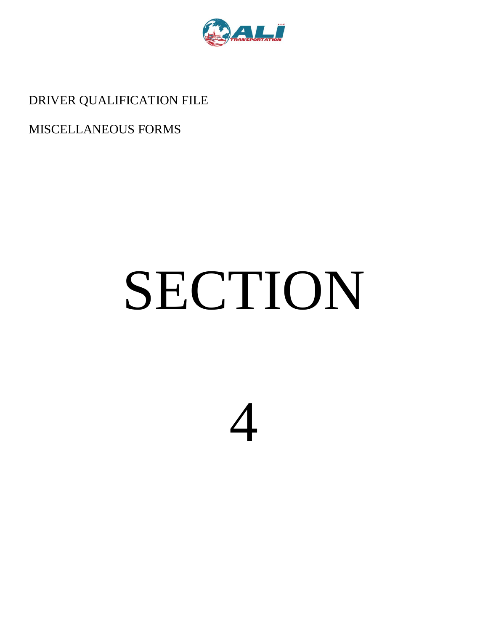

DRIVER QUALIFICATION FILE

# MISCELLANEOUS FORMS

# SECTION

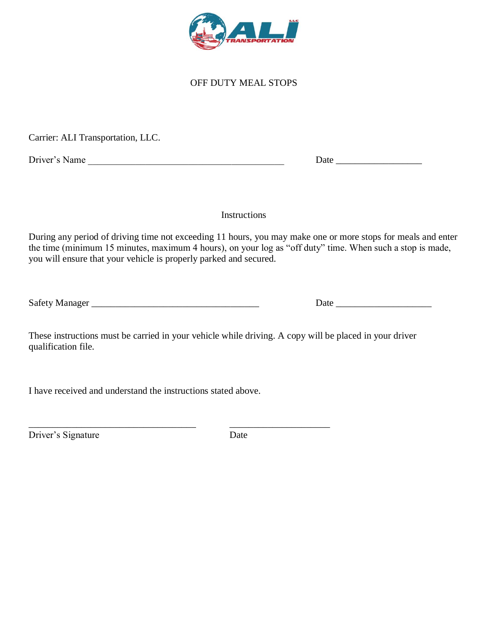

OFF DUTY MEAL STOPS

Carrier: ALI Transportation, LLC.

Driver's Name \_\_\_\_\_\_\_\_\_\_\_\_\_\_\_\_\_\_\_\_\_\_\_\_\_\_\_\_\_\_\_\_\_\_\_\_\_\_\_\_\_ Date \_\_\_\_\_\_\_\_\_\_\_\_\_\_\_\_\_\_

Safety Manager \_\_\_\_\_\_\_\_\_\_\_\_\_\_\_\_\_\_\_\_\_\_\_\_\_\_\_\_\_\_\_\_\_\_\_ Date \_\_\_\_\_\_\_\_\_\_\_\_\_\_\_\_\_\_\_\_

Instructions

During any period of driving time not exceeding 11 hours, you may make one or more stops for meals and enter the time (minimum 15 minutes, maximum 4 hours), on your log as "off duty" time. When such a stop is made, you will ensure that your vehicle is properly parked and secured.

| <b>Safety Manager</b> |  |
|-----------------------|--|
|-----------------------|--|

These instructions must be carried in your vehicle while driving. A copy will be placed in your driver qualification file.

I have received and understand the instructions stated above.

Driver's Signature Date

\_\_\_\_\_\_\_\_\_\_\_\_\_\_\_\_\_\_\_\_\_\_\_\_\_\_\_\_\_\_\_\_\_\_\_ \_\_\_\_\_\_\_\_\_\_\_\_\_\_\_\_\_\_\_\_\_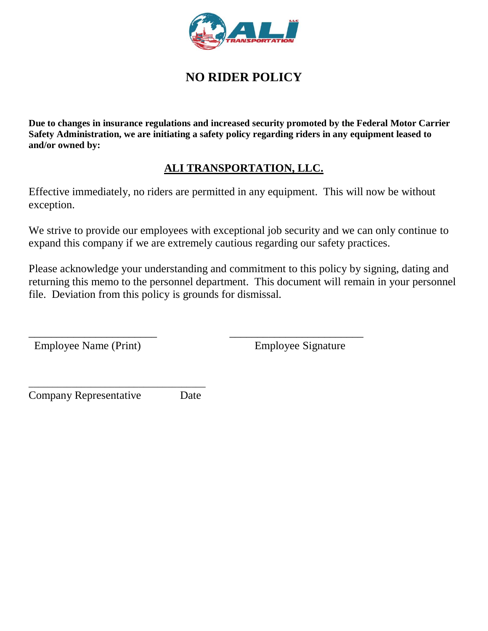

# **NO RIDER POLICY**

**Due to changes in insurance regulations and increased security promoted by the Federal Motor Carrier Safety Administration, we are initiating a safety policy regarding riders in any equipment leased to and/or owned by:**

# **ALI TRANSPORTATION, LLC.**

Effective immediately, no riders are permitted in any equipment. This will now be without exception.

We strive to provide our employees with exceptional job security and we can only continue to expand this company if we are extremely cautious regarding our safety practices.

Please acknowledge your understanding and commitment to this policy by signing, dating and returning this memo to the personnel department. This document will remain in your personnel file. Deviation from this policy is grounds for dismissal.

\_\_\_\_\_\_\_\_\_\_\_\_\_\_\_\_\_\_\_\_\_\_\_ \_\_\_\_\_\_\_\_\_\_\_\_\_\_\_\_\_\_\_\_\_\_\_\_

Employee Name (Print) Employee Signature

Company Representative Date

\_\_\_\_\_\_\_\_\_\_\_\_\_\_\_\_\_\_\_\_\_\_\_\_\_\_\_\_\_\_\_\_\_\_\_\_\_